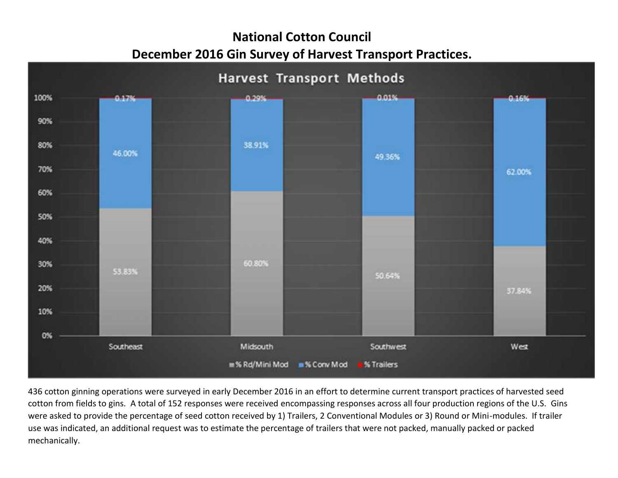## **National Cotton Council December 2016 Gin Survey of Harvest Transport Practices.**



436 cotton ginning operations were surveyed in early December 2016 in an effort to determine current transport practices of harvested seed cotton from fields to gins. A total of 152 responses were received encompassing responses across all four production regions of the U.S. Gins were asked to provide the percentage of seed cotton received by 1) Trailers, 2 Conventional Modules or 3) Round or Mini-modules. If trailer use was indicated, an additional request was to estimate the percentage of trailers that were not packed, manually packed or packed mechanically.